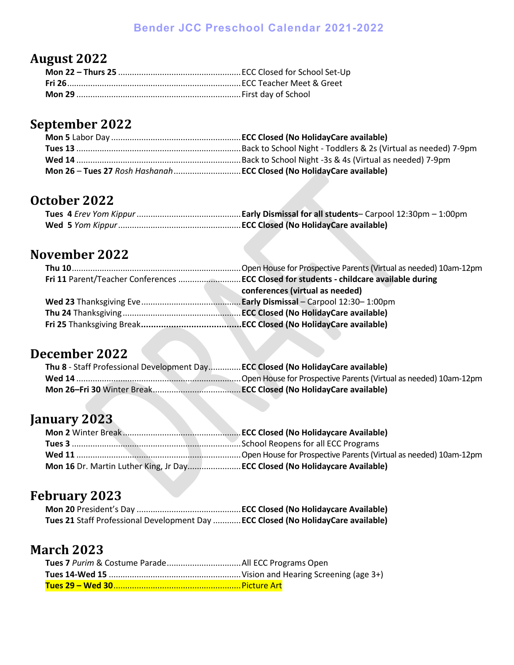#### **Bender JCC Preschool Calendar 2021-2022**

# **August 2022**

# **September 2022**

### **October 2022**

## **November 2022**

| conferences (virtual as needed) |
|---------------------------------|
|                                 |
|                                 |
|                                 |

# **December 2022**

| Thu 8 - Staff Professional Development DayECC Closed (No HolidayCare available) |  |
|---------------------------------------------------------------------------------|--|
|                                                                                 |  |
|                                                                                 |  |

# **January 2023**

| Mon 16 Dr. Martin Luther King, Jr Day ECC Closed (No Holidaycare Available) |
|-----------------------------------------------------------------------------|

# **February 2023**

| Tues 21 Staff Professional Development Day  ECC Closed (No HolidayCare available) |  |
|-----------------------------------------------------------------------------------|--|

### **March 2023**